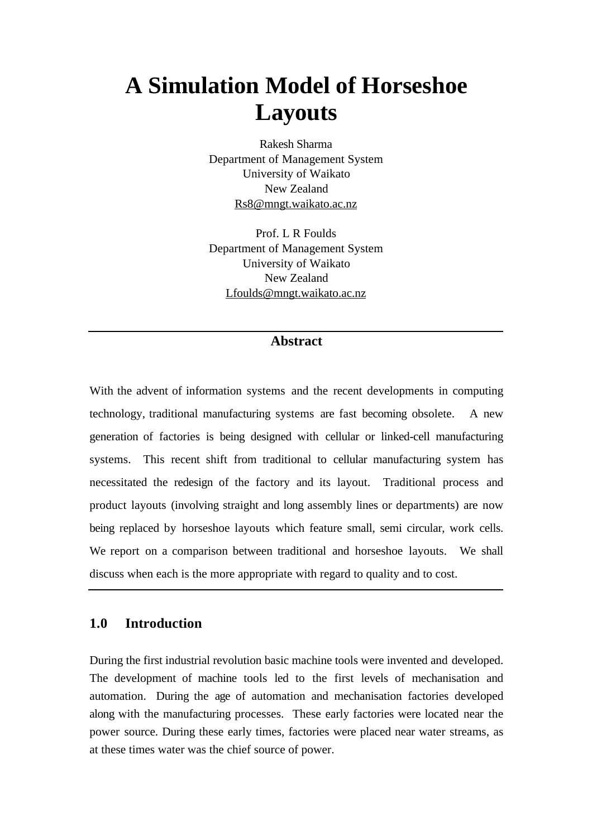# **A Simulation Model of Horseshoe Layouts**

Rakesh Sharma Department of Management System University of Waikato New Zealand Rs8@mngt.waikato.ac.nz

Prof. L R Foulds Department of Management System University of Waikato New Zealand Lfoulds@mngt.waikato.ac.nz

## **Abstract**

With the advent of information systems and the recent developments in computing technology, traditional manufacturing systems are fast becoming obsolete. A new generation of factories is being designed with cellular or linked-cell manufacturing systems. This recent shift from traditional to cellular manufacturing system has necessitated the redesign of the factory and its layout. Traditional process and product layouts (involving straight and long assembly lines or departments) are now being replaced by horseshoe layouts which feature small, semi circular, work cells. We report on a comparison between traditional and horseshoe layouts. We shall discuss when each is the more appropriate with regard to quality and to cost.

# **1.0 Introduction**

During the first industrial revolution basic machine tools were invented and developed. The development of machine tools led to the first levels of mechanisation and automation. During the age of automation and mechanisation factories developed along with the manufacturing processes. These early factories were located near the power source. During these early times, factories were placed near water streams, as at these times water was the chief source of power.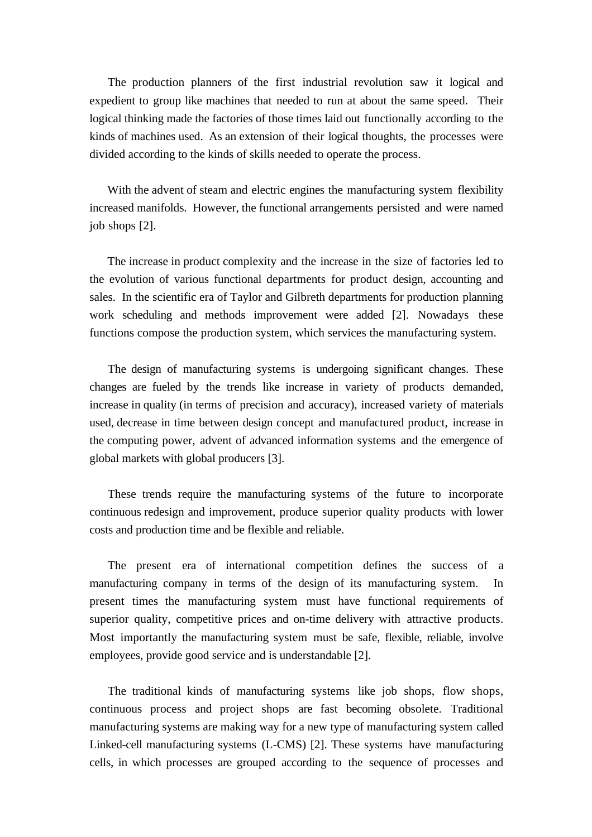The production planners of the first industrial revolution saw it logical and expedient to group like machines that needed to run at about the same speed. Their logical thinking made the factories of those times laid out functionally according to the kinds of machines used. As an extension of their logical thoughts, the processes were divided according to the kinds of skills needed to operate the process.

With the advent of steam and electric engines the manufacturing system flexibility increased manifolds. However, the functional arrangements persisted and were named job shops [2].

 The increase in product complexity and the increase in the size of factories led to the evolution of various functional departments for product design, accounting and sales. In the scientific era of Taylor and Gilbreth departments for production planning work scheduling and methods improvement were added [2]. Nowadays these functions compose the production system, which services the manufacturing system.

 The design of manufacturing systems is undergoing significant changes. These changes are fueled by the trends like increase in variety of products demanded, increase in quality (in terms of precision and accuracy), increased variety of materials used, decrease in time between design concept and manufactured product, increase in the computing power, advent of advanced information systems and the emergence of global markets with global producers [3].

 These trends require the manufacturing systems of the future to incorporate continuous redesign and improvement, produce superior quality products with lower costs and production time and be flexible and reliable.

 The present era of international competition defines the success of a manufacturing company in terms of the design of its manufacturing system. In present times the manufacturing system must have functional requirements of superior quality, competitive prices and on-time delivery with attractive products. Most importantly the manufacturing system must be safe, flexible, reliable, involve employees, provide good service and is understandable [2].

 The traditional kinds of manufacturing systems like job shops, flow shops, continuous process and project shops are fast becoming obsolete. Traditional manufacturing systems are making way for a new type of manufacturing system called Linked-cell manufacturing systems (L-CMS) [2]. These systems have manufacturing cells, in which processes are grouped according to the sequence of processes and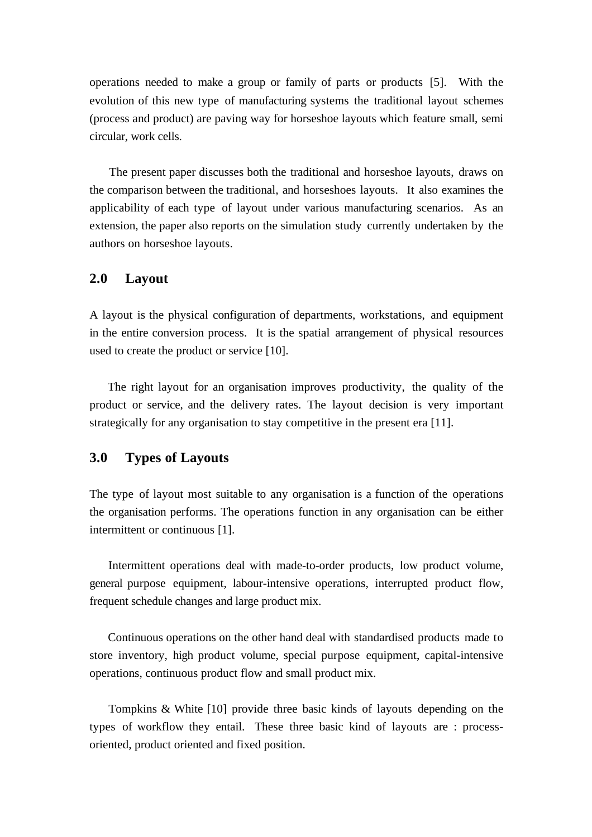operations needed to make a group or family of parts or products [5]. With the evolution of this new type of manufacturing systems the traditional layout schemes (process and product) are paving way for horseshoe layouts which feature small, semi circular, work cells.

 The present paper discusses both the traditional and horseshoe layouts, draws on the comparison between the traditional, and horseshoes layouts. It also examines the applicability of each type of layout under various manufacturing scenarios. As an extension, the paper also reports on the simulation study currently undertaken by the authors on horseshoe layouts.

# **2.0 Layout**

A layout is the physical configuration of departments, workstations, and equipment in the entire conversion process. It is the spatial arrangement of physical resources used to create the product or service [10].

 The right layout for an organisation improves productivity, the quality of the product or service, and the delivery rates. The layout decision is very important strategically for any organisation to stay competitive in the present era [11].

# **3.0 Types of Layouts**

The type of layout most suitable to any organisation is a function of the operations the organisation performs. The operations function in any organisation can be either intermittent or continuous [1].

 Intermittent operations deal with made-to-order products, low product volume, general purpose equipment, labour-intensive operations, interrupted product flow, frequent schedule changes and large product mix.

 Continuous operations on the other hand deal with standardised products made to store inventory, high product volume, special purpose equipment, capital-intensive operations, continuous product flow and small product mix.

 Tompkins & White [10] provide three basic kinds of layouts depending on the types of workflow they entail. These three basic kind of layouts are : processoriented, product oriented and fixed position.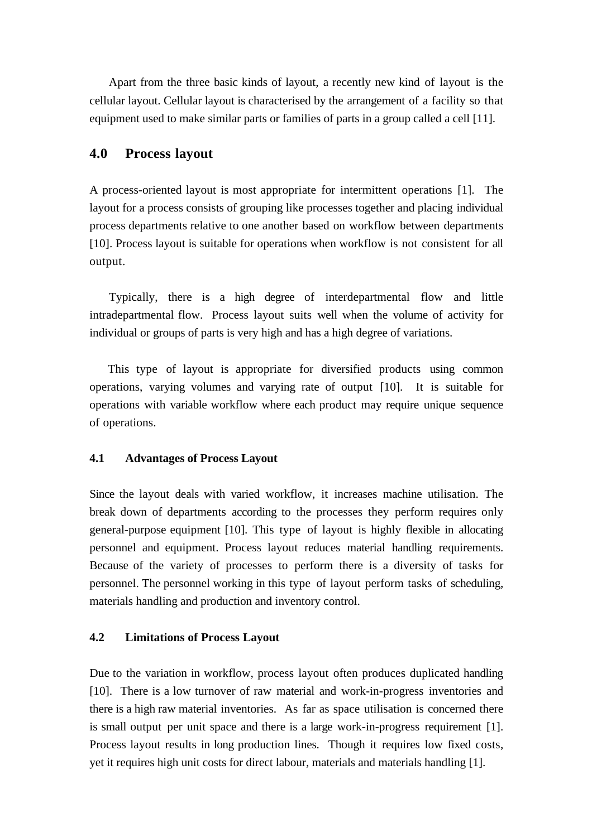Apart from the three basic kinds of layout, a recently new kind of layout is the cellular layout. Cellular layout is characterised by the arrangement of a facility so that equipment used to make similar parts or families of parts in a group called a cell [11].

# **4.0 Process layout**

A process-oriented layout is most appropriate for intermittent operations [1]. The layout for a process consists of grouping like processes together and placing individual process departments relative to one another based on workflow between departments [10]. Process layout is suitable for operations when workflow is not consistent for all output.

 Typically, there is a high degree of interdepartmental flow and little intradepartmental flow. Process layout suits well when the volume of activity for individual or groups of parts is very high and has a high degree of variations.

 This type of layout is appropriate for diversified products using common operations, varying volumes and varying rate of output [10]. It is suitable for operations with variable workflow where each product may require unique sequence of operations.

#### **4.1 Advantages of Process Layout**

Since the layout deals with varied workflow, it increases machine utilisation. The break down of departments according to the processes they perform requires only general-purpose equipment [10]. This type of layout is highly flexible in allocating personnel and equipment. Process layout reduces material handling requirements. Because of the variety of processes to perform there is a diversity of tasks for personnel. The personnel working in this type of layout perform tasks of scheduling, materials handling and production and inventory control.

#### **4.2 Limitations of Process Layout**

Due to the variation in workflow, process layout often produces duplicated handling [10]. There is a low turnover of raw material and work-in-progress inventories and there is a high raw material inventories. As far as space utilisation is concerned there is small output per unit space and there is a large work-in-progress requirement [1]. Process layout results in long production lines. Though it requires low fixed costs, yet it requires high unit costs for direct labour, materials and materials handling [1].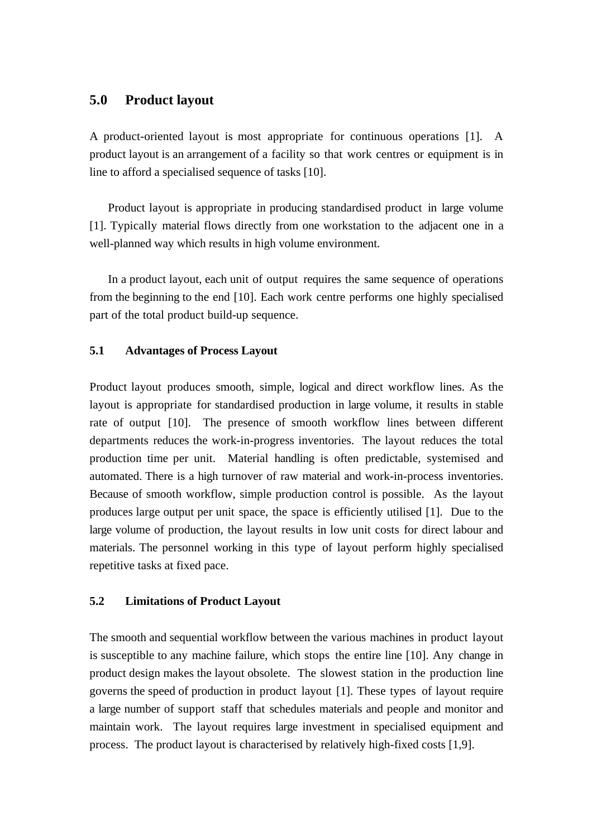# **5.0 Product layout**

A product-oriented layout is most appropriate for continuous operations [1]. A product layout is an arrangement of a facility so that work centres or equipment is in line to afford a specialised sequence of tasks [10].

 Product layout is appropriate in producing standardised product in large volume [1]. Typically material flows directly from one workstation to the adjacent one in a well-planned way which results in high volume environment.

 In a product layout, each unit of output requires the same sequence of operations from the beginning to the end [10]. Each work centre performs one highly specialised part of the total product build-up sequence.

## **5.1 Advantages of Process Layout**

Product layout produces smooth, simple, logical and direct workflow lines. As the layout is appropriate for standardised production in large volume, it results in stable rate of output [10]. The presence of smooth workflow lines between different departments reduces the work-in-progress inventories. The layout reduces the total production time per unit. Material handling is often predictable, systemised and automated. There is a high turnover of raw material and work-in-process inventories. Because of smooth workflow, simple production control is possible. As the layout produces large output per unit space, the space is efficiently utilised [1]. Due to the large volume of production, the layout results in low unit costs for direct labour and materials. The personnel working in this type of layout perform highly specialised repetitive tasks at fixed pace.

#### **5.2 Limitations of Product Layout**

The smooth and sequential workflow between the various machines in product layout is susceptible to any machine failure, which stops the entire line [10]. Any change in product design makes the layout obsolete. The slowest station in the production line governs the speed of production in product layout [1]. These types of layout require a large number of support staff that schedules materials and people and monitor and maintain work. The layout requires large investment in specialised equipment and process. The product layout is characterised by relatively high-fixed costs [1,9].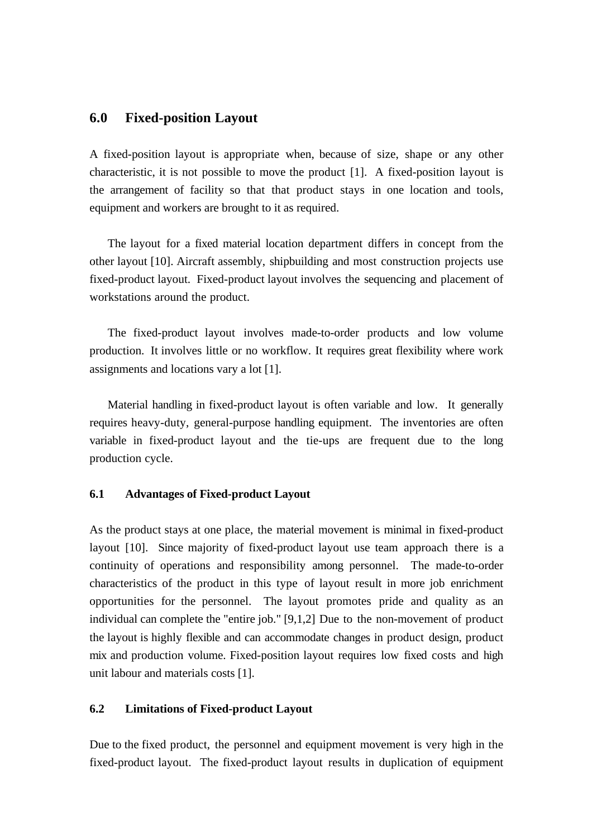## **6.0 Fixed-position Layout**

A fixed-position layout is appropriate when, because of size, shape or any other characteristic, it is not possible to move the product [1]. A fixed-position layout is the arrangement of facility so that that product stays in one location and tools, equipment and workers are brought to it as required.

 The layout for a fixed material location department differs in concept from the other layout [10]. Aircraft assembly, shipbuilding and most construction projects use fixed-product layout. Fixed-product layout involves the sequencing and placement of workstations around the product.

 The fixed-product layout involves made-to-order products and low volume production. It involves little or no workflow. It requires great flexibility where work assignments and locations vary a lot [1].

 Material handling in fixed-product layout is often variable and low. It generally requires heavy-duty, general-purpose handling equipment. The inventories are often variable in fixed-product layout and the tie-ups are frequent due to the long production cycle.

#### **6.1 Advantages of Fixed-product Layout**

As the product stays at one place, the material movement is minimal in fixed-product layout [10]. Since majority of fixed-product layout use team approach there is a continuity of operations and responsibility among personnel. The made-to-order characteristics of the product in this type of layout result in more job enrichment opportunities for the personnel. The layout promotes pride and quality as an individual can complete the "entire job." [9,1,2] Due to the non-movement of product the layout is highly flexible and can accommodate changes in product design, product mix and production volume. Fixed-position layout requires low fixed costs and high unit labour and materials costs [1].

#### **6.2 Limitations of Fixed-product Layout**

Due to the fixed product, the personnel and equipment movement is very high in the fixed-product layout. The fixed-product layout results in duplication of equipment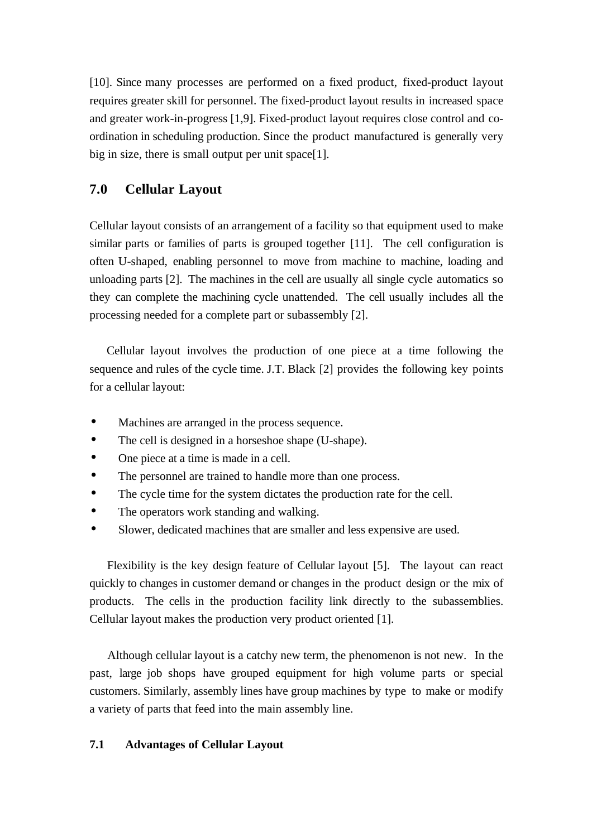[10]. Since many processes are performed on a fixed product, fixed-product layout requires greater skill for personnel. The fixed-product layout results in increased space and greater work-in-progress [1,9]. Fixed-product layout requires close control and coordination in scheduling production. Since the product manufactured is generally very big in size, there is small output per unit space[1].

# **7.0 Cellular Layout**

Cellular layout consists of an arrangement of a facility so that equipment used to make similar parts or families of parts is grouped together [11]. The cell configuration is often U-shaped, enabling personnel to move from machine to machine, loading and unloading parts [2]. The machines in the cell are usually all single cycle automatics so they can complete the machining cycle unattended. The cell usually includes all the processing needed for a complete part or subassembly [2].

 Cellular layout involves the production of one piece at a time following the sequence and rules of the cycle time. J.T. Black [2] provides the following key points for a cellular layout:

- Machines are arranged in the process sequence.
- The cell is designed in a horseshoe shape (U-shape).
- One piece at a time is made in a cell.
- The personnel are trained to handle more than one process.
- The cycle time for the system dictates the production rate for the cell.
- The operators work standing and walking.
- Slower, dedicated machines that are smaller and less expensive are used.

 Flexibility is the key design feature of Cellular layout [5]. The layout can react quickly to changes in customer demand or changes in the product design or the mix of products. The cells in the production facility link directly to the subassemblies. Cellular layout makes the production very product oriented [1].

 Although cellular layout is a catchy new term, the phenomenon is not new. In the past, large job shops have grouped equipment for high volume parts or special customers. Similarly, assembly lines have group machines by type to make or modify a variety of parts that feed into the main assembly line.

## **7.1 Advantages of Cellular Layout**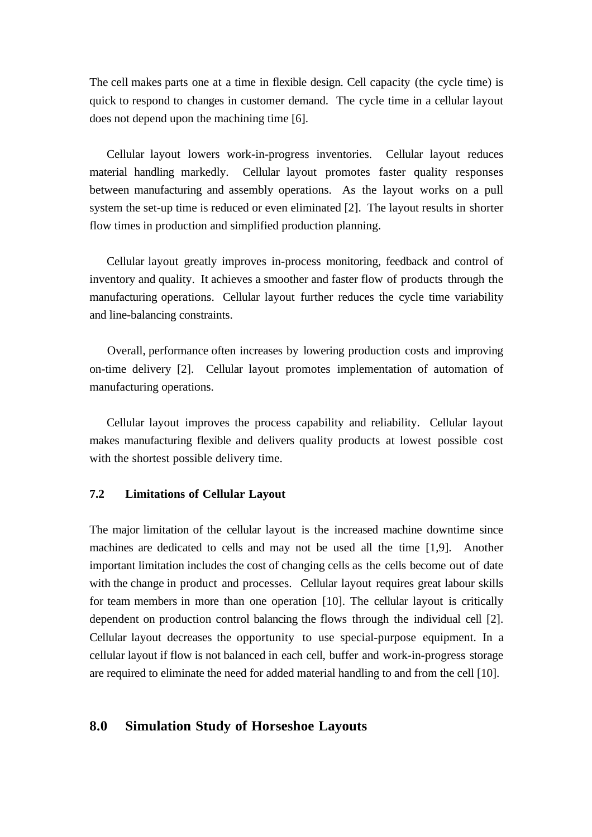The cell makes parts one at a time in flexible design. Cell capacity (the cycle time) is quick to respond to changes in customer demand. The cycle time in a cellular layout does not depend upon the machining time [6].

 Cellular layout lowers work-in-progress inventories. Cellular layout reduces material handling markedly. Cellular layout promotes faster quality responses between manufacturing and assembly operations. As the layout works on a pull system the set-up time is reduced or even eliminated [2]. The layout results in shorter flow times in production and simplified production planning.

 Cellular layout greatly improves in-process monitoring, feedback and control of inventory and quality. It achieves a smoother and faster flow of products through the manufacturing operations. Cellular layout further reduces the cycle time variability and line-balancing constraints.

 Overall, performance often increases by lowering production costs and improving on-time delivery [2]. Cellular layout promotes implementation of automation of manufacturing operations.

 Cellular layout improves the process capability and reliability. Cellular layout makes manufacturing flexible and delivers quality products at lowest possible cost with the shortest possible delivery time.

#### **7.2 Limitations of Cellular Layout**

The major limitation of the cellular layout is the increased machine downtime since machines are dedicated to cells and may not be used all the time [1,9]. Another important limitation includes the cost of changing cells as the cells become out of date with the change in product and processes. Cellular layout requires great labour skills for team members in more than one operation [10]. The cellular layout is critically dependent on production control balancing the flows through the individual cell [2]. Cellular layout decreases the opportunity to use special-purpose equipment. In a cellular layout if flow is not balanced in each cell, buffer and work-in-progress storage are required to eliminate the need for added material handling to and from the cell [10].

## **8.0 Simulation Study of Horseshoe Layouts**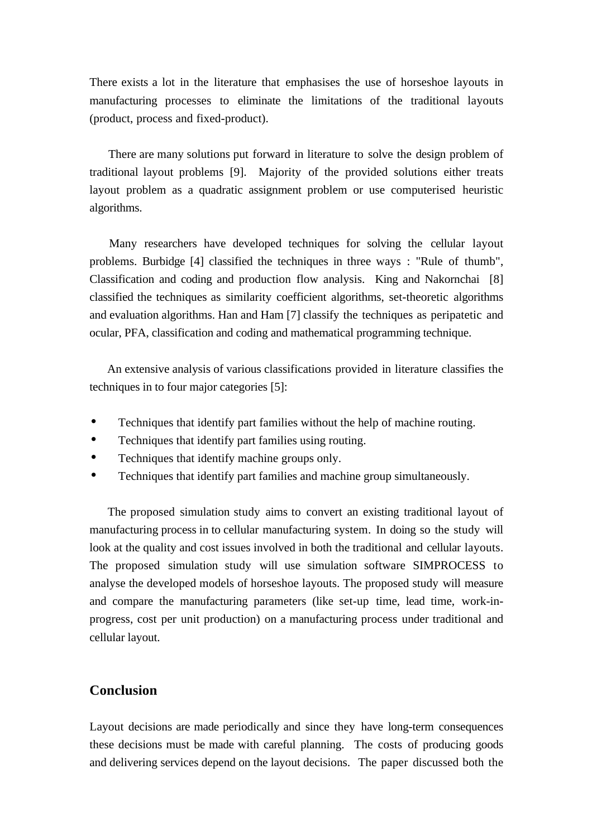There exists a lot in the literature that emphasises the use of horseshoe layouts in manufacturing processes to eliminate the limitations of the traditional layouts (product, process and fixed-product).

 There are many solutions put forward in literature to solve the design problem of traditional layout problems [9]. Majority of the provided solutions either treats layout problem as a quadratic assignment problem or use computerised heuristic algorithms.

 Many researchers have developed techniques for solving the cellular layout problems. Burbidge [4] classified the techniques in three ways : "Rule of thumb", Classification and coding and production flow analysis. King and Nakornchai [8] classified the techniques as similarity coefficient algorithms, set-theoretic algorithms and evaluation algorithms. Han and Ham [7] classify the techniques as peripatetic and ocular, PFA, classification and coding and mathematical programming technique.

 An extensive analysis of various classifications provided in literature classifies the techniques in to four major categories [5]:

- Techniques that identify part families without the help of machine routing.
- Techniques that identify part families using routing.
- Techniques that identify machine groups only.
- Techniques that identify part families and machine group simultaneously.

 The proposed simulation study aims to convert an existing traditional layout of manufacturing process in to cellular manufacturing system. In doing so the study will look at the quality and cost issues involved in both the traditional and cellular layouts. The proposed simulation study will use simulation software SIMPROCESS to analyse the developed models of horseshoe layouts. The proposed study will measure and compare the manufacturing parameters (like set-up time, lead time, work-inprogress, cost per unit production) on a manufacturing process under traditional and cellular layout.

## **Conclusion**

Layout decisions are made periodically and since they have long-term consequences these decisions must be made with careful planning. The costs of producing goods and delivering services depend on the layout decisions. The paper discussed both the